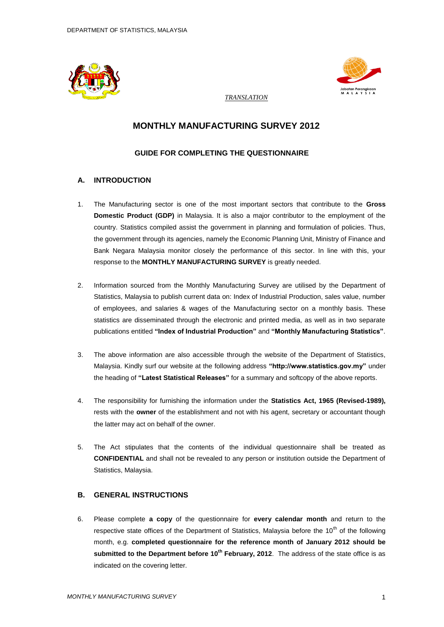



*TRANSLATION* 

# **MONTHLY MANUFACTURING SURVEY 2012**

# **GUIDE FOR COMPLETING THE QUESTIONNAIRE**

# **A. INTRODUCTION**

- 1. The Manufacturing sector is one of the most important sectors that contribute to the **Gross Domestic Product (GDP)** in Malaysia. It is also a major contributor to the employment of the country. Statistics compiled assist the government in planning and formulation of policies. Thus, the government through its agencies, namely the Economic Planning Unit, Ministry of Finance and Bank Negara Malaysia monitor closely the performance of this sector. In line with this, your response to the **MONTHLY MANUFACTURING SURVEY** is greatly needed.
- 2. Information sourced from the Monthly Manufacturing Survey are utilised by the Department of Statistics, Malaysia to publish current data on: Index of Industrial Production, sales value, number of employees, and salaries & wages of the Manufacturing sector on a monthly basis. These statistics are disseminated through the electronic and printed media, as well as in two separate publications entitled **"Index of Industrial Production"** and **"Monthly Manufacturing Statistics"**.
- 3. The above information are also accessible through the website of the Department of Statistics, Malaysia. Kindly surf our website at the following address **"http://www.statistics.gov.my"** under the heading of **"Latest Statistical Releases"** for a summary and softcopy of the above reports.
- 4. The responsibility for furnishing the information under the **Statistics Act, 1965 (Revised-1989),** rests with the **owner** of the establishment and not with his agent, secretary or accountant though the latter may act on behalf of the owner.
- 5. The Act stipulates that the contents of the individual questionnaire shall be treated as **CONFIDENTIAL** and shall not be revealed to any person or institution outside the Department of Statistics, Malaysia.

# **B. GENERAL INSTRUCTIONS**

6. Please complete **a copy** of the questionnaire for **every calendar month** and return to the respective state offices of the Department of Statistics, Malaysia before the  $10<sup>th</sup>$  of the following month, e.g. **completed questionnaire for the reference month of January 2012 should be submitted to the Department before 10th February, 2012**. The address of the state office is as indicated on the covering letter.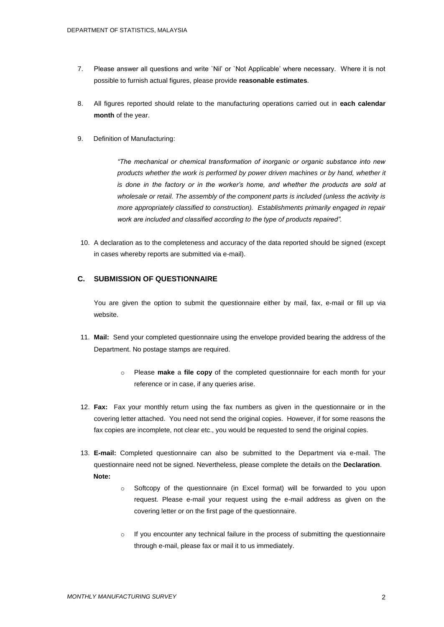- 7. Please answer all questions and write `Nil' or `Not Applicable' where necessary. Where it is not possible to furnish actual figures, please provide **reasonable estimates**.
- 8. All figures reported should relate to the manufacturing operations carried out in **each calendar month** of the year.
- 9. Definition of Manufacturing:

*"The mechanical or chemical transformation of inorganic or organic substance into new products whether the work is performed by power driven machines or by hand, whether it is done in the factory or in the worker's home, and whether the products are sold at wholesale or retail. The assembly of the component parts is included (unless the activity is more appropriately classified to construction). Establishments primarily engaged in repair work are included and classified according to the type of products repaired".*

10. A declaration as to the completeness and accuracy of the data reported should be signed (except in cases whereby reports are submitted via e-mail).

# **C. SUBMISSION OF QUESTIONNAIRE**

You are given the option to submit the questionnaire either by mail, fax, e-mail or fill up via website.

- 11. **Mail:** Send your completed questionnaire using the envelope provided bearing the address of the Department. No postage stamps are required.
	- o Please **make** a **file copy** of the completed questionnaire for each month for your reference or in case, if any queries arise.
- 12. **Fax:** Fax your monthly return using the fax numbers as given in the questionnaire or in the covering letter attached. You need not send the original copies. However, if for some reasons the fax copies are incomplete, not clear etc., you would be requested to send the original copies.
- 13. **E-mail:** Completed questionnaire can also be submitted to the Department via e-mail. The questionnaire need not be signed. Nevertheless, please complete the details on the **Declaration**. **Note:**
	- o Softcopy of the questionnaire (in Excel format) will be forwarded to you upon request. Please e-mail your request using the e-mail address as given on the covering letter or on the first page of the questionnaire.
	- $\circ$  If you encounter any technical failure in the process of submitting the questionnaire through e-mail, please fax or mail it to us immediately.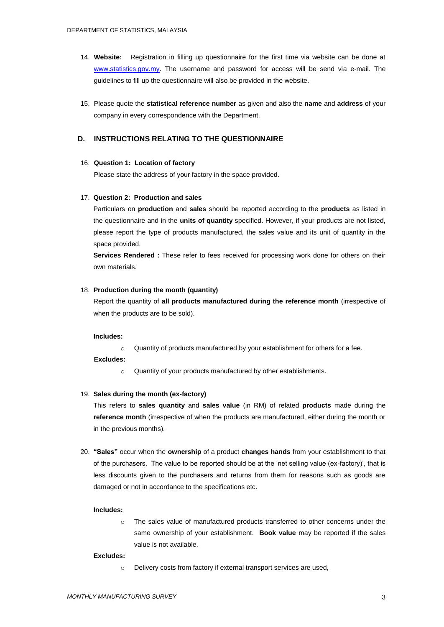- 14. **Website:** Registration in filling up questionnaire for the first time via website can be done at [www.statistics.gov.my.](http://www.statistics.gov.my/) The username and password for access will be send via e-mail. The guidelines to fill up the questionnaire will also be provided in the website.
- 15. Please quote the **statistical reference number** as given and also the **name** and **address** of your company in every correspondence with the Department.

# **D. INSTRUCTIONS RELATING TO THE QUESTIONNAIRE**

# 16. **Question 1: Location of factory**

Please state the address of your factory in the space provided.

#### 17. **Question 2: Production and sales**

Particulars on **production** and **sales** should be reported according to the **products** as listed in the questionnaire and in the **units of quantity** specified. However, if your products are not listed, please report the type of products manufactured, the sales value and its unit of quantity in the space provided.

**Services Rendered :** These refer to fees received for processing work done for others on their own materials.

#### 18. **Production during the month (quantity)**

Report the quantity of **all products manufactured during the reference month** (irrespective of when the products are to be sold).

#### **Includes:**

o Quantity of products manufactured by your establishment for others for a fee.

#### **Excludes:**

o Quantity of your products manufactured by other establishments.

# 19. **Sales during the month (ex-factory)**

This refers to **sales quantity** and **sales value** (in RM) of related **products** made during the **reference month** (irrespective of when the products are manufactured, either during the month or in the previous months).

20. **"Sales"** occur when the **ownership** of a product **changes hands** from your establishment to that of the purchasers. The value to be reported should be at the 'net selling value (ex-factory)', that is less discounts given to the purchasers and returns from them for reasons such as goods are damaged or not in accordance to the specifications etc.

#### **Includes:**

o The sales value of manufactured products transferred to other concerns under the same ownership of your establishment. **Book value** may be reported if the sales value is not available.

#### **Excludes:**

o Delivery costs from factory if external transport services are used,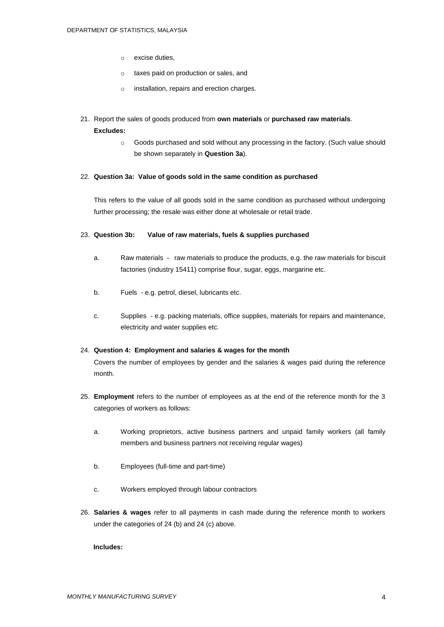- o excise duties,
- o taxes paid on production or sales, and
- o installation, repairs and erection charges.
- 21. Report the sales of goods produced from **own materials** or **purchased raw materials**.

# **Excludes:**

o Goods purchased and sold without any processing in the factory. (Such value should be shown separately in **Question 3a**).

# 22. **Question 3a: Value of goods sold in the same condition as purchased**

This refers to the value of all goods sold in the same condition as purchased without undergoing further processing; the resale was either done at wholesale or retail trade.

# 23. **Question 3b: Value of raw materials, fuels & supplies purchased**

- a. Raw materials raw materials to produce the products, e.g. the raw materials for biscuit factories (industry 15411) comprise flour, sugar, eggs, margarine etc.
- b. Fuels e.g. petrol, diesel, lubricants etc.
- c. Supplies e.g. packing materials, office supplies, materials for repairs and maintenance, electricity and water supplies etc.

# 24. **Question 4: Employment and salaries & wages for the month**

Covers the number of employees by gender and the salaries & wages paid during the reference month.

- 25. **Employment** refers to the number of employees as at the end of the reference month for the 3 categories of workers as follows:
	- a. Working proprietors, active business partners and unpaid family workers (all family members and business partners not receiving regular wages)
	- b. Employees (full-time and part-time)
	- c. Workers employed through labour contractors
- 26. **Salaries & wages** refer to all payments in cash made during the reference month to workers under the categories of 24 (b) and 24 (c) above.

# **Includes:**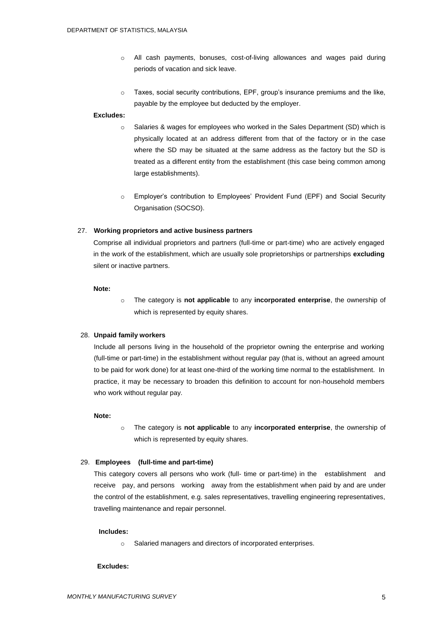- o All cash payments, bonuses, cost-of-living allowances and wages paid during periods of vacation and sick leave.
- $\circ$  Taxes, social security contributions, EPF, group's insurance premiums and the like, payable by the employee but deducted by the employer.

# **Excludes:**

- $\circ$  Salaries & wages for employees who worked in the Sales Department (SD) which is physically located at an address different from that of the factory or in the case where the SD may be situated at the same address as the factory but the SD is treated as a different entity from the establishment (this case being common among large establishments).
- o Employer's contribution to Employees' Provident Fund (EPF) and Social Security Organisation (SOCSO).

# 27. **Working proprietors and active business partners**

Comprise all individual proprietors and partners (full-time or part-time) who are actively engaged in the work of the establishment, which are usually sole proprietorships or partnerships **excluding**  silent or inactive partners.

# **Note:**

o The category is **not applicable** to any **incorporated enterprise**, the ownership of which is represented by equity shares.

# 28. **Unpaid family workers**

Include all persons living in the household of the proprietor owning the enterprise and working (full-time or part-time) in the establishment without regular pay (that is, without an agreed amount to be paid for work done) for at least one-third of the working time normal to the establishment. In practice, it may be necessary to broaden this definition to account for non-household members who work without regular pay.

#### **Note:**

o The category is **not applicable** to any **incorporated enterprise**, the ownership of which is represented by equity shares.

# 29. **Employees (full-time and part-time)**

This category covers all persons who work (full- time or part-time) in the establishment and receive pay, and persons working away from the establishment when paid by and are under the control of the establishment, e.g. sales representatives, travelling engineering representatives, travelling maintenance and repair personnel.

# **Includes:**

o Salaried managers and directors of incorporated enterprises.

#### **Excludes:**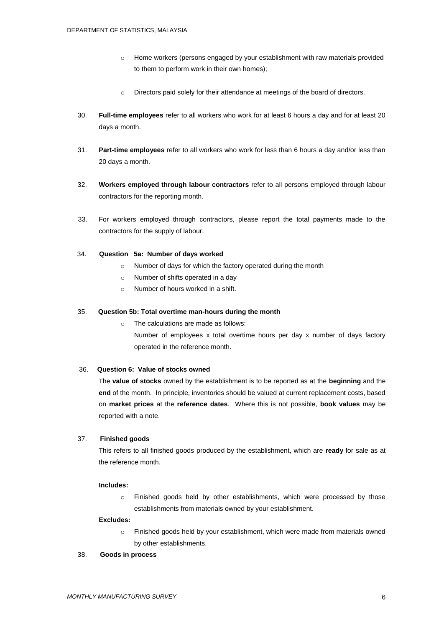- o Home workers (persons engaged by your establishment with raw materials provided to them to perform work in their own homes);
- $\circ$  Directors paid solely for their attendance at meetings of the board of directors.
- 30. **Full-time employees** refer to all workers who work for at least 6 hours a day and for at least 20 days a month.
- 31. **Part-time employees** refer to all workers who work for less than 6 hours a day and/or less than 20 days a month.
- 32. **Workers employed through labour contractors** refer to all persons employed through labour contractors for the reporting month.
- 33. For workers employed through contractors, please report the total payments made to the contractors for the supply of labour.

# 34. **Question 5a: Number of days worked**

- o Number of days for which the factory operated during the month
- o Number of shifts operated in a day
- o Number of hours worked in a shift.

# 35. **Question 5b: Total overtime man-hours during the month**

- o The calculations are made as follows:
	- Number of employees x total overtime hours per day x number of days factory operated in the reference month.

# 36. **Question 6: Value of stocks owned**

The **value of stocks** owned by the establishment is to be reported as at the **beginning** and the **end** of the month. In principle, inventories should be valued at current replacement costs, based on **market prices** at the **reference dates**. Where this is not possible, **book values** may be reported with a note.

# 37. **Finished goods**

This refers to all finished goods produced by the establishment, which are **ready** for sale as at the reference month.

# **Includes:**

o Finished goods held by other establishments, which were processed by those establishments from materials owned by your establishment.

#### **Excludes:**

o Finished goods held by your establishment, which were made from materials owned by other establishments.

#### 38. **Goods in process**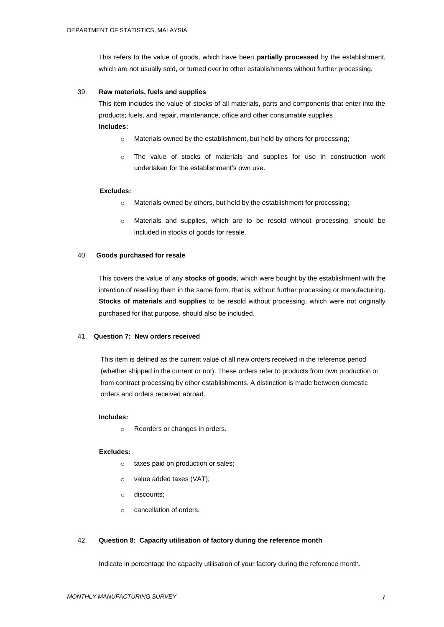This refers to the value of goods, which have been **partially processed** by the establishment, which are not usually sold, or turned over to other establishments without further processing.

# 39. **Raw materials, fuels and supplies**

This item includes the value of stocks of all materials, parts and components that enter into the products; fuels, and repair, maintenance, office and other consumable supplies. **Includes:**

- o Materials owned by the establishment, but held by others for processing;
- $\circ$  The value of stocks of materials and supplies for use in construction work undertaken for the establishment's own use.

# **Excludes:**

- o Materials owned by others, but held by the establishment for processing;
- o Materials and supplies, which are to be resold without processing, should be included in stocks of goods for resale.

# 40. **Goods purchased for resale**

This covers the value of any **stocks of goods**, which were bought by the establishment with the intention of reselling them in the same form, that is, without further processing or manufacturing. **Stocks of materials** and **supplies** to be resold without processing, which were not originally purchased for that purpose, should also be included.

# 41. **Question 7: New orders received**

This item is defined as the current value of all new orders received in the reference period (whether shipped in the current or not). These orders refer to products from own production or from contract processing by other establishments. A distinction is made between domestic orders and orders received abroad.

#### **Includes:**

o Reorders or changes in orders.

# **Excludes:**

- o taxes paid on production or sales;
- o value added taxes (VAT);
- o discounts;
- o cancellation of orders.

# 42. **Question 8: Capacity utilisation of factory during the reference month**

Indicate in percentage the capacity utilisation of your factory during the reference month.